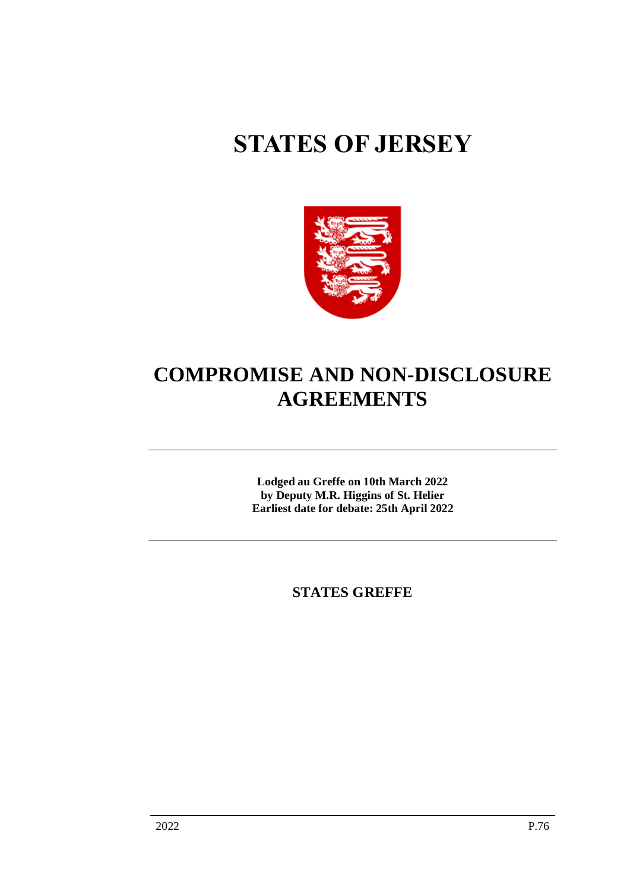# **STATES OF JERSEY**



## **COMPROMISE AND NON-DISCLOSURE AGREEMENTS**

**Lodged au Greffe on 10th March 2022 by Deputy M.R. Higgins of St. Helier Earliest date for debate: 25th April 2022**

**STATES GREFFE**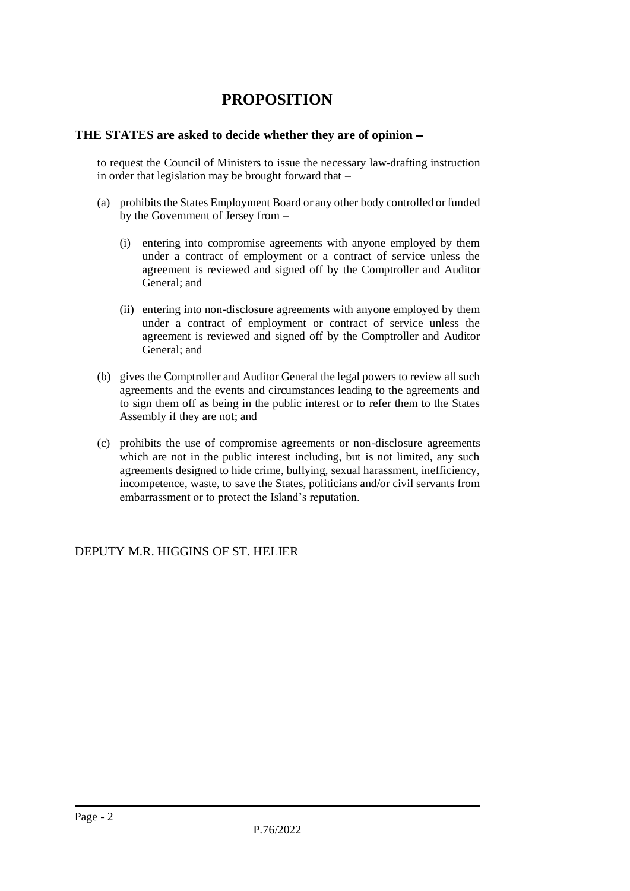### **PROPOSITION**

#### **THE STATES are asked to decide whether they are of opinion** −

to request the Council of Ministers to issue the necessary law-drafting instruction in order that legislation may be brought forward that  $-$ 

- (a) prohibits the States Employment Board or any other body controlled or funded by the Government of Jersey from –
	- (i) entering into compromise agreements with anyone employed by them under a contract of employment or a contract of service unless the agreement is reviewed and signed off by the Comptroller and Auditor General; and
	- (ii) entering into non-disclosure agreements with anyone employed by them under a contract of employment or contract of service unless the agreement is reviewed and signed off by the Comptroller and Auditor General; and
- (b) gives the Comptroller and Auditor General the legal powers to review all such agreements and the events and circumstances leading to the agreements and to sign them off as being in the public interest or to refer them to the States Assembly if they are not; and
- (c) prohibits the use of compromise agreements or non-disclosure agreements which are not in the public interest including, but is not limited, any such agreements designed to hide crime, bullying, sexual harassment, inefficiency, incompetence, waste, to save the States, politicians and/or civil servants from embarrassment or to protect the Island's reputation.

DEPUTY M.R. HIGGINS OF ST. HELIER